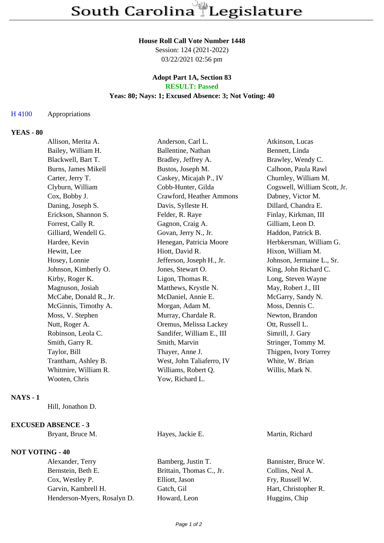### **House Roll Call Vote Number 1448**

Session: 124 (2021-2022) 03/22/2021 02:56 pm

### **Adopt Part 1A, Section 83 RESULT: Passed**

### **Yeas: 80; Nays: 1; Excused Absence: 3; Not Voting: 40**

## H 4100 Appropriations

# **YEAS - 80**

| Allison, Merita A.     | Anderson, Carl L.         | Atkinson, Lucas              |
|------------------------|---------------------------|------------------------------|
| Bailey, William H.     | Ballentine, Nathan        | Bennett, Linda               |
| Blackwell, Bart T.     | Bradley, Jeffrey A.       | Brawley, Wendy C.            |
| Burns, James Mikell    | Bustos, Joseph M.         | Calhoon, Paula Rawl          |
| Carter, Jerry T.       | Caskey, Micajah P., IV    | Chumley, William M.          |
| Clyburn, William       | Cobb-Hunter, Gilda        | Cogswell, William Scott, Jr. |
| Cox, Bobby J.          | Crawford, Heather Ammons  | Dabney, Victor M.            |
| Daning, Joseph S.      | Davis, Sylleste H.        | Dillard, Chandra E.          |
| Erickson, Shannon S.   | Felder, R. Raye           | Finlay, Kirkman, III         |
| Forrest, Cally R.      | Gagnon, Craig A.          | Gilliam, Leon D.             |
| Gilliard, Wendell G.   | Govan, Jerry N., Jr.      | Haddon, Patrick B.           |
| Hardee, Kevin          | Henegan, Patricia Moore   | Herbkersman, William G.      |
| Hewitt, Lee            | Hiott, David R.           | Hixon, William M.            |
| Hosey, Lonnie          | Jefferson, Joseph H., Jr. | Johnson, Jermaine L., Sr.    |
| Johnson, Kimberly O.   | Jones, Stewart O.         | King, John Richard C.        |
| Kirby, Roger K.        | Ligon, Thomas R.          | Long, Steven Wayne           |
| Magnuson, Josiah       | Matthews, Krystle N.      | May, Robert J., III          |
| McCabe, Donald R., Jr. | McDaniel, Annie E.        | McGarry, Sandy N.            |
| McGinnis, Timothy A.   | Morgan, Adam M.           | Moss, Dennis C.              |
| Moss, V. Stephen       | Murray, Chardale R.       | Newton, Brandon              |
| Nutt, Roger A.         | Oremus, Melissa Lackey    | Ott, Russell L.              |
| Robinson, Leola C.     | Sandifer, William E., III | Simrill, J. Gary             |
| Smith, Garry R.        | Smith, Marvin             | Stringer, Tommy M.           |
| Taylor, Bill           | Thayer, Anne J.           | Thigpen, Ivory Torrey        |
| Trantham, Ashley B.    | West, John Taliaferro, IV | White, W. Brian              |
| Whitmire, William R.   | Williams, Robert Q.       | Willis, Mark N.              |
| Wooten, Chris          | Yow, Richard L.           |                              |
|                        |                           |                              |

### **NAYS - 1**

Hill, Jonathon D.

#### **EXCUSED ABSENCE - 3**

| Bryant, Bruce M. | Hayes, Jackie E. | Martin, Richard |
|------------------|------------------|-----------------|
|                  |                  |                 |

# **NOT VOTING - 40**

Alexander, Terry Bamberg, Justin T. Bannister, Bruce W. Bernstein, Beth E. Brittain, Thomas C., Jr. Collins, Neal A. Cox, Westley P. Elliott, Jason Fry, Russell W. Garvin, Kambrell H. Gatch, Gil Hart, Christopher R. Garvin, Kambrell H. Gatch, Gil Henderson-Myers, Rosalyn D. Howard, Leon Huggins, Chip